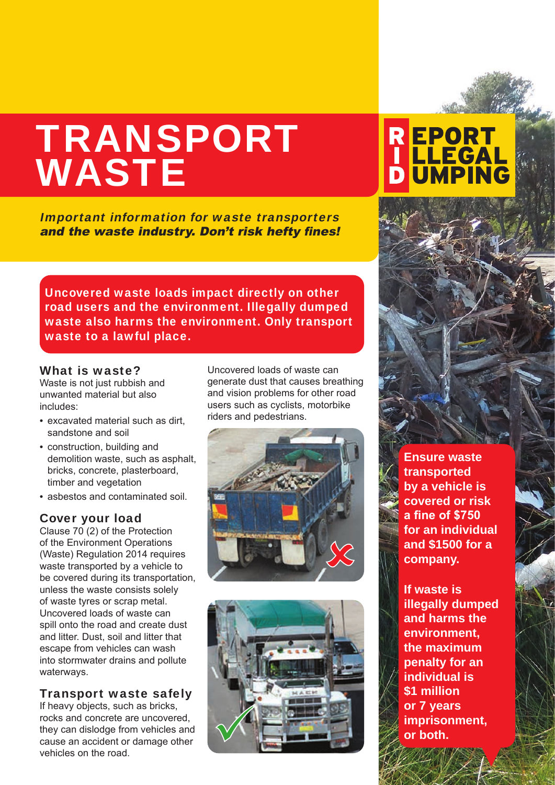# TRANSPORT WASTE

Important information for waste transporters and the waste industry. Don't risk hefty fines!

Uncovered waste loads impact directly on other road users and the environment. Illegally dumped waste also harms the environment. Only transport waste to a lawful place.

#### What is waste?

Waste is not just rubbish and unwanted material but also includes:

- excavated material such as dirt, sandstone and soil
- construction, building and demolition waste, such as asphalt, bricks, concrete, plasterboard, timber and vegetation
- asbestos and contaminated soil.

#### Cover your load

Clause 70 (2) of the Protection of the Environment Operations (Waste) Regulation 2014 requires waste transported by a vehicle to be covered during its transportation, unless the waste consists solely of waste tyres or scrap metal. Uncovered loads of waste can spill onto the road and create dust and litter. Dust, soil and litter that escape from vehicles can wash into stormwater drains and pollute waterways.

#### Transport waste safely

If heavy objects, such as bricks, rocks and concrete are uncovered, they can dislodge from vehicles and cause an accident or damage other vehicles on the road.

Uncovered loads of waste can generate dust that causes breathing and vision problems for other road users such as cyclists, motorbike riders and pedestrians.





**Ensure waste transported by a vehicle is covered or risk a fine of \$750 for an individual and \$1500 for a company.** 

**REPORT<br>| LLEGAL<br>D UMPING** 

**If waste is illegally dumped and harms the environment, the maximum penalty for an individual is \$1 million or 7 years imprisonment, or both.**